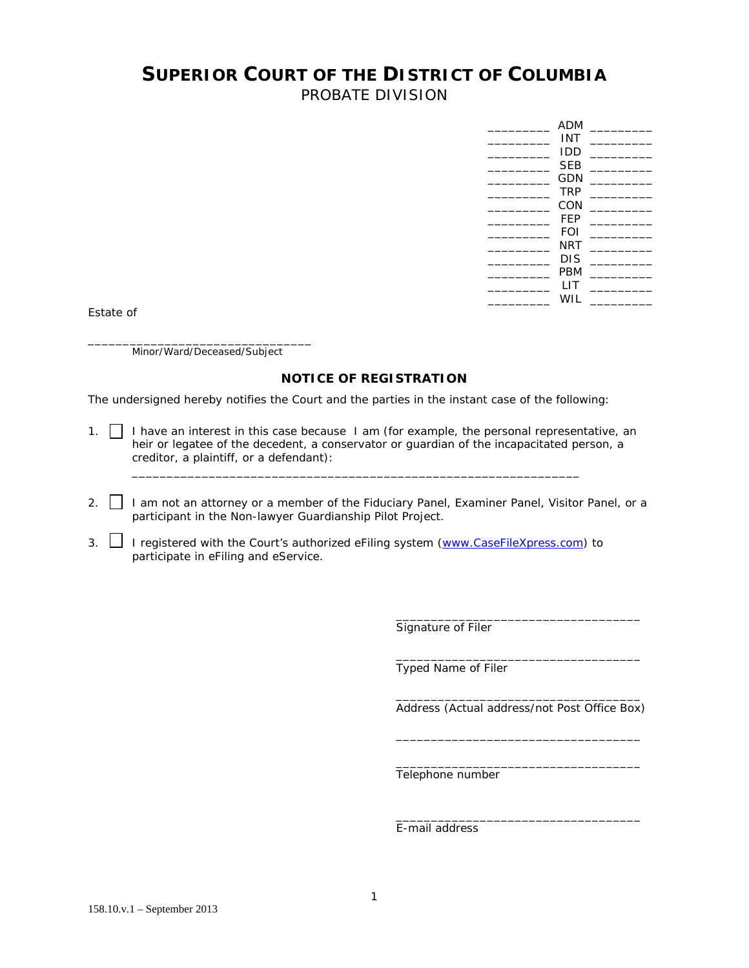## **SUPERIOR COURT OF THE DISTRICT OF COLUMBIA**

PROBATE DIVISION

| <b>ADM</b> |  |
|------------|--|
| INT        |  |
| IDD        |  |
| <b>SEB</b> |  |
| GDN        |  |
| <b>TRP</b> |  |
| CON        |  |
| FEP        |  |
| FOI        |  |
| NRT        |  |
| DIS        |  |
| PBM        |  |
| I IT       |  |
| WIL        |  |
|            |  |

Estate of

\_\_\_\_\_\_\_\_\_\_\_\_\_\_\_\_\_\_\_\_\_\_\_\_\_\_\_\_\_\_\_\_ Minor/Ward/Deceased/Subject

## **NOTICE OF REGISTRATION**

The undersigned hereby notifies the Court and the parties in the instant case of the following:

1.  $\Box$  I have an interest in this case because I am (for example, the personal representative, an heir or legatee of the decedent, a conservator or guardian of the incapacitated person, a creditor, a plaintiff, or a defendant):

\_\_\_\_\_\_\_\_\_\_\_\_\_\_\_\_\_\_\_\_\_\_\_\_\_\_\_\_\_\_\_\_\_\_\_\_\_\_\_\_\_\_\_\_\_\_\_\_\_\_\_\_\_\_\_\_\_\_\_\_\_\_\_\_

- 2. I am not an attorney or a member of the Fiduciary Panel, Examiner Panel, Visitor Panel, or a participant in the Non-lawyer Guardianship Pilot Project.
- 3. J registered with the Court's authorized eFiling system ([www.CaseFileXpress.com](http://www.casefilexpress.com/)) to participate in eFiling and eService.

Signature of Filer

Typed Name of Filer

Address (Actual address/not Post Office Box)

\_\_\_\_\_\_\_\_\_\_\_\_\_\_\_\_\_\_\_\_\_\_\_\_\_\_\_\_\_\_\_\_\_\_\_

 $\overline{\phantom{a}}$  ,  $\overline{\phantom{a}}$  ,  $\overline{\phantom{a}}$  ,  $\overline{\phantom{a}}$  ,  $\overline{\phantom{a}}$  ,  $\overline{\phantom{a}}$  ,  $\overline{\phantom{a}}$  ,  $\overline{\phantom{a}}$  ,  $\overline{\phantom{a}}$  ,  $\overline{\phantom{a}}$  ,  $\overline{\phantom{a}}$  ,  $\overline{\phantom{a}}$  ,  $\overline{\phantom{a}}$  ,  $\overline{\phantom{a}}$  ,  $\overline{\phantom{a}}$  ,  $\overline{\phantom{a}}$ 

 $\frac{1}{2}$  ,  $\frac{1}{2}$  ,  $\frac{1}{2}$  ,  $\frac{1}{2}$  ,  $\frac{1}{2}$  ,  $\frac{1}{2}$  ,  $\frac{1}{2}$  ,  $\frac{1}{2}$  ,  $\frac{1}{2}$  ,  $\frac{1}{2}$  ,  $\frac{1}{2}$  ,  $\frac{1}{2}$  ,  $\frac{1}{2}$  ,  $\frac{1}{2}$  ,  $\frac{1}{2}$  ,  $\frac{1}{2}$  ,  $\frac{1}{2}$  ,  $\frac{1}{2}$  ,  $\frac{1$ 

 $\overline{\phantom{a}}$  ,  $\overline{\phantom{a}}$  ,  $\overline{\phantom{a}}$  ,  $\overline{\phantom{a}}$  ,  $\overline{\phantom{a}}$  ,  $\overline{\phantom{a}}$  ,  $\overline{\phantom{a}}$  ,  $\overline{\phantom{a}}$  ,  $\overline{\phantom{a}}$  ,  $\overline{\phantom{a}}$  ,  $\overline{\phantom{a}}$  ,  $\overline{\phantom{a}}$  ,  $\overline{\phantom{a}}$  ,  $\overline{\phantom{a}}$  ,  $\overline{\phantom{a}}$  ,  $\overline{\phantom{a}}$ 

 $\frac{1}{2}$  ,  $\frac{1}{2}$  ,  $\frac{1}{2}$  ,  $\frac{1}{2}$  ,  $\frac{1}{2}$  ,  $\frac{1}{2}$  ,  $\frac{1}{2}$  ,  $\frac{1}{2}$  ,  $\frac{1}{2}$  ,  $\frac{1}{2}$  ,  $\frac{1}{2}$  ,  $\frac{1}{2}$  ,  $\frac{1}{2}$  ,  $\frac{1}{2}$  ,  $\frac{1}{2}$  ,  $\frac{1}{2}$  ,  $\frac{1}{2}$  ,  $\frac{1}{2}$  ,  $\frac{1$ 

 $\overline{\phantom{a}}$  ,  $\overline{\phantom{a}}$  ,  $\overline{\phantom{a}}$  ,  $\overline{\phantom{a}}$  ,  $\overline{\phantom{a}}$  ,  $\overline{\phantom{a}}$  ,  $\overline{\phantom{a}}$  ,  $\overline{\phantom{a}}$  ,  $\overline{\phantom{a}}$  ,  $\overline{\phantom{a}}$  ,  $\overline{\phantom{a}}$  ,  $\overline{\phantom{a}}$  ,  $\overline{\phantom{a}}$  ,  $\overline{\phantom{a}}$  ,  $\overline{\phantom{a}}$  ,  $\overline{\phantom{a}}$ 

Telephone number

E-mail address